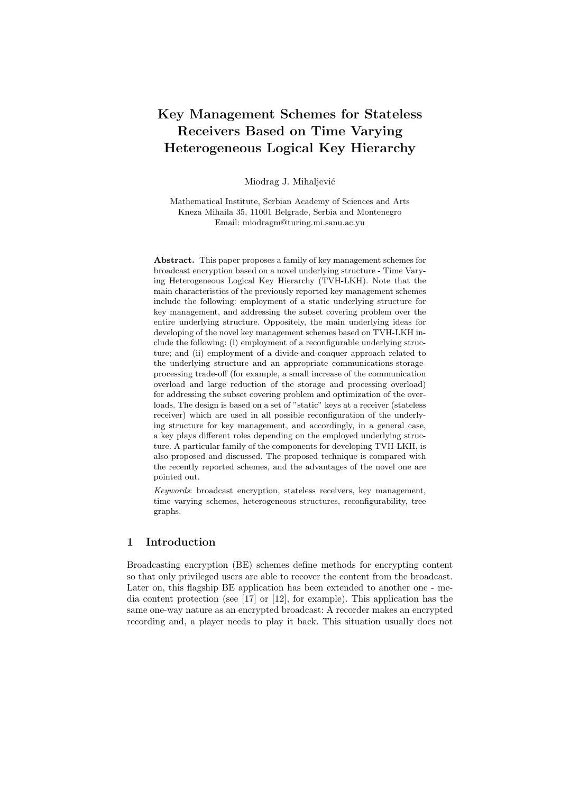# Key Management Schemes for Stateless Receivers Based on Time Varying Heterogeneous Logical Key Hierarchy

Miodrag J. Mihaljević

Mathematical Institute, Serbian Academy of Sciences and Arts Kneza Mihaila 35, 11001 Belgrade, Serbia and Montenegro Email: miodragm@turing.mi.sanu.ac.yu

Abstract. This paper proposes a family of key management schemes for broadcast encryption based on a novel underlying structure - Time Varying Heterogeneous Logical Key Hierarchy (TVH-LKH). Note that the main characteristics of the previously reported key management schemes include the following: employment of a static underlying structure for key management, and addressing the subset covering problem over the entire underlying structure. Oppositely, the main underlying ideas for developing of the novel key management schemes based on TVH-LKH include the following: (i) employment of a reconfigurable underlying structure; and (ii) employment of a divide-and-conquer approach related to the underlying structure and an appropriate communications-storageprocessing trade-off (for example, a small increase of the communication overload and large reduction of the storage and processing overload) for addressing the subset covering problem and optimization of the overloads. The design is based on a set of "static" keys at a receiver (stateless receiver) which are used in all possible reconfiguration of the underlying structure for key management, and accordingly, in a general case, a key plays different roles depending on the employed underlying structure. A particular family of the components for developing TVH-LKH, is also proposed and discussed. The proposed technique is compared with the recently reported schemes, and the advantages of the novel one are pointed out.

Keywords: broadcast encryption, stateless receivers, key management, time varying schemes, heterogeneous structures, reconfigurability, tree graphs.

# 1 Introduction

Broadcasting encryption (BE) schemes define methods for encrypting content so that only privileged users are able to recover the content from the broadcast. Later on, this flagship BE application has been extended to another one - media content protection (see [17] or [12], for example). This application has the same one-way nature as an encrypted broadcast: A recorder makes an encrypted recording and, a player needs to play it back. This situation usually does not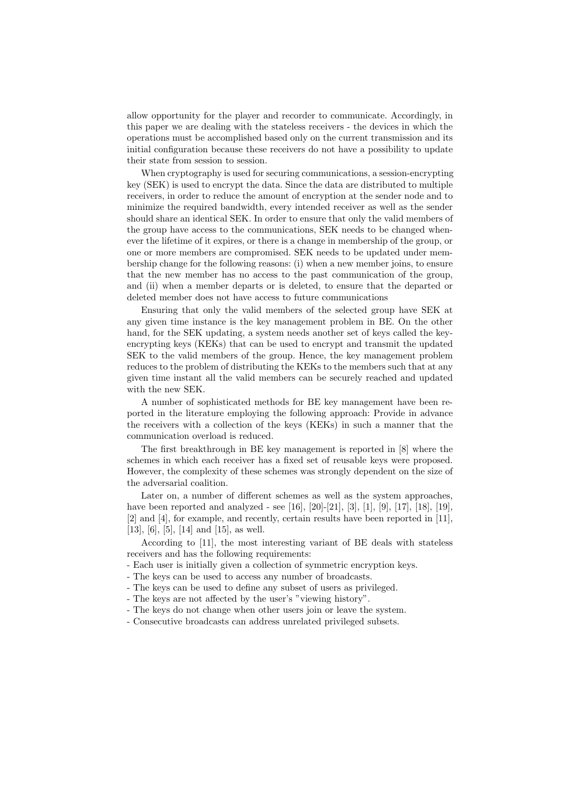allow opportunity for the player and recorder to communicate. Accordingly, in this paper we are dealing with the stateless receivers - the devices in which the operations must be accomplished based only on the current transmission and its initial configuration because these receivers do not have a possibility to update their state from session to session.

When cryptography is used for securing communications, a session-encrypting key (SEK) is used to encrypt the data. Since the data are distributed to multiple receivers, in order to reduce the amount of encryption at the sender node and to minimize the required bandwidth, every intended receiver as well as the sender should share an identical SEK. In order to ensure that only the valid members of the group have access to the communications, SEK needs to be changed whenever the lifetime of it expires, or there is a change in membership of the group, or one or more members are compromised. SEK needs to be updated under membership change for the following reasons: (i) when a new member joins, to ensure that the new member has no access to the past communication of the group, and (ii) when a member departs or is deleted, to ensure that the departed or deleted member does not have access to future communications

Ensuring that only the valid members of the selected group have SEK at any given time instance is the key management problem in BE. On the other hand, for the SEK updating, a system needs another set of keys called the keyencrypting keys (KEKs) that can be used to encrypt and transmit the updated SEK to the valid members of the group. Hence, the key management problem reduces to the problem of distributing the KEKs to the members such that at any given time instant all the valid members can be securely reached and updated with the new SEK.

A number of sophisticated methods for BE key management have been reported in the literature employing the following approach: Provide in advance the receivers with a collection of the keys (KEKs) in such a manner that the communication overload is reduced.

The first breakthrough in BE key management is reported in [8] where the schemes in which each receiver has a fixed set of reusable keys were proposed. However, the complexity of these schemes was strongly dependent on the size of the adversarial coalition.

Later on, a number of different schemes as well as the system approaches, have been reported and analyzed - see [16], [20]-[21], [3], [1], [9], [17], [18], [19], [2] and [4], for example, and recently, certain results have been reported in [11], [13], [6], [5], [14] and [15], as well.

According to [11], the most interesting variant of BE deals with stateless receivers and has the following requirements:

- Each user is initially given a collection of symmetric encryption keys.

- The keys can be used to access any number of broadcasts.
- The keys can be used to define any subset of users as privileged.
- The keys are not affected by the user's "viewing history".
- The keys do not change when other users join or leave the system.
- Consecutive broadcasts can address unrelated privileged subsets.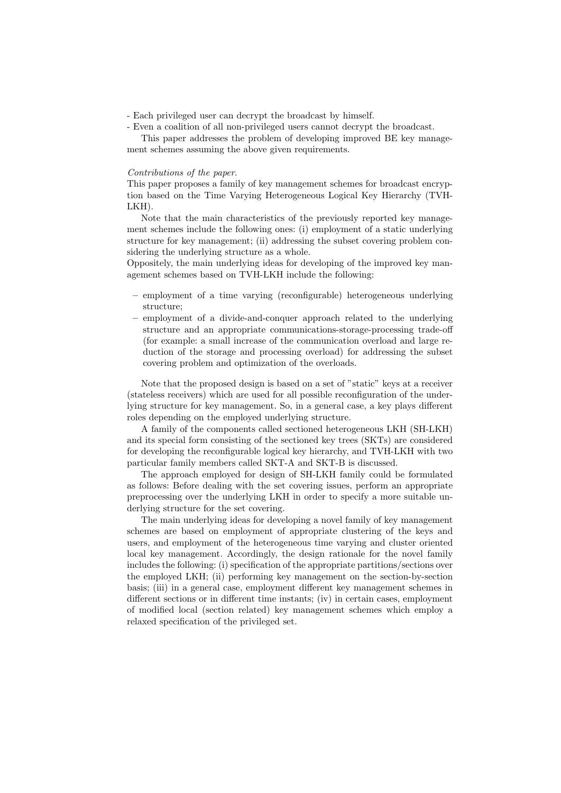- Each privileged user can decrypt the broadcast by himself.

- Even a coalition of all non-privileged users cannot decrypt the broadcast.

This paper addresses the problem of developing improved BE key management schemes assuming the above given requirements.

#### Contributions of the paper.

This paper proposes a family of key management schemes for broadcast encryption based on the Time Varying Heterogeneous Logical Key Hierarchy (TVH-LKH).

Note that the main characteristics of the previously reported key management schemes include the following ones: (i) employment of a static underlying structure for key management; (ii) addressing the subset covering problem considering the underlying structure as a whole.

Oppositely, the main underlying ideas for developing of the improved key management schemes based on TVH-LKH include the following:

- employment of a time varying (reconfigurable) heterogeneous underlying structure;
- employment of a divide-and-conquer approach related to the underlying structure and an appropriate communications-storage-processing trade-off (for example: a small increase of the communication overload and large reduction of the storage and processing overload) for addressing the subset covering problem and optimization of the overloads.

Note that the proposed design is based on a set of "static" keys at a receiver (stateless receivers) which are used for all possible reconfiguration of the underlying structure for key management. So, in a general case, a key plays different roles depending on the employed underlying structure.

A family of the components called sectioned heterogeneous LKH (SH-LKH) and its special form consisting of the sectioned key trees (SKTs) are considered for developing the reconfigurable logical key hierarchy, and TVH-LKH with two particular family members called SKT-A and SKT-B is discussed.

The approach employed for design of SH-LKH family could be formulated as follows: Before dealing with the set covering issues, perform an appropriate preprocessing over the underlying LKH in order to specify a more suitable underlying structure for the set covering.

The main underlying ideas for developing a novel family of key management schemes are based on employment of appropriate clustering of the keys and users, and employment of the heterogeneous time varying and cluster oriented local key management. Accordingly, the design rationale for the novel family includes the following: (i) specification of the appropriate partitions/sections over the employed LKH; (ii) performing key management on the section-by-section basis; (iii) in a general case, employment different key management schemes in different sections or in different time instants; (iv) in certain cases, employment of modified local (section related) key management schemes which employ a relaxed specification of the privileged set.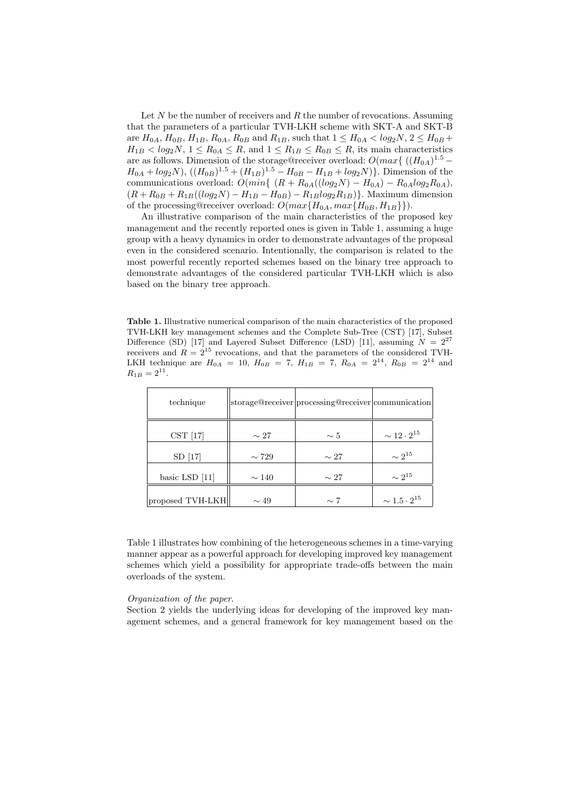Let  $N$  be the number of receivers and  $R$  the number of revocations. Assuming that the parameters of a particular TVH-LKH scheme with SKT-A and SKT-B are  $H_{0A}$ ,  $H_{0B}$ ,  $H_{1B}$ ,  $R_{0A}$ ,  $R_{0B}$  and  $R_{1B}$ , such that  $1 \leq H_{0A} < log_2 N$ ,  $2 \leq H_{0B} +$  $H_{1B} < log_2 N$ ,  $1 \le R_{0A} \le R$ , and  $1 \le R_{1B} \le R_{0B} \le R$ , its main characteristics are as follows. Dimension of the storage@receiver overload:  $O(max\{ (H_{0A})^{1.5} H_{0A} + log_2 N$ ),  $((H_{0B})^{1.5} + (H_{1B})^{1.5} - H_{0B} - H_{1B} + log_2 N)$ . Dimension of the communications overload:  $O(min\{ (R + R_{0A}((log_2 N) - H_{0A}) - R_{0A}log_2 R_{0A})$ ,  $(R + R_{0B} + R_{1B}((log_2 N) - H_{1B} - H_{0B}) - R_{1B}log_2 R_{1B})$ . Maximum dimension of the processing@receiver overload:  $O(max{H_{0A}, max{H_{0B}, H_{1B}}}).$ 

An illustrative comparison of the main characteristics of the proposed key management and the recently reported ones is given in Table 1, assuming a huge group with a heavy dynamics in order to demonstrate advantages of the proposal even in the considered scenario. Intentionally, the comparison is related to the most powerful recently reported schemes based on the binary tree approach to demonstrate advantages of the considered particular TVH-LKH which is also based on the binary tree approach.

Table 1. Illustrative numerical comparison of the main characteristics of the proposed TVH-LKH key management schemes and the Complete Sub-Tree (CST) [17], Subset Difference (SD) [17] and Layered Subset Difference (LSD) [11], assuming  $N = 2^{27}$ receivers and  $R = 2^{15}$  revocations, and that the parameters of the considered TVH-LKH technique are  $H_{0A} = 10, H_{0B} = 7, H_{1B} = 7, R_{0A} = 2^{14}, R_{0B} = 2^{14}$  and  $R_{1B} = 2^{11}.$ 

| technique         |            | storage@receiver processing@receiver communication |                         |
|-------------------|------------|----------------------------------------------------|-------------------------|
| $\text{CST}$ [17] | $\sim 27$  | $\sim 5$                                           | $\sim 12 \cdot 2^{15}$  |
| $SD$ [17]         | $\sim$ 729 | $\sim 27$                                          | $\sim 2^{15}$           |
| basic LSD $[11]$  | $\sim$ 140 | $\sim 27$                                          | $\sim 2^{15}$           |
| proposed TVH-LKH  | $\sim$ 49  | $\sim 7$                                           | $\sim 1.5 \cdot 2^{15}$ |

Table 1 illustrates how combining of the heterogeneous schemes in a time-varying manner appear as a powerful approach for developing improved key management schemes which yield a possibility for appropriate trade-offs between the main overloads of the system.

#### Organization of the paper.

Section 2 yields the underlying ideas for developing of the improved key management schemes, and a general framework for key management based on the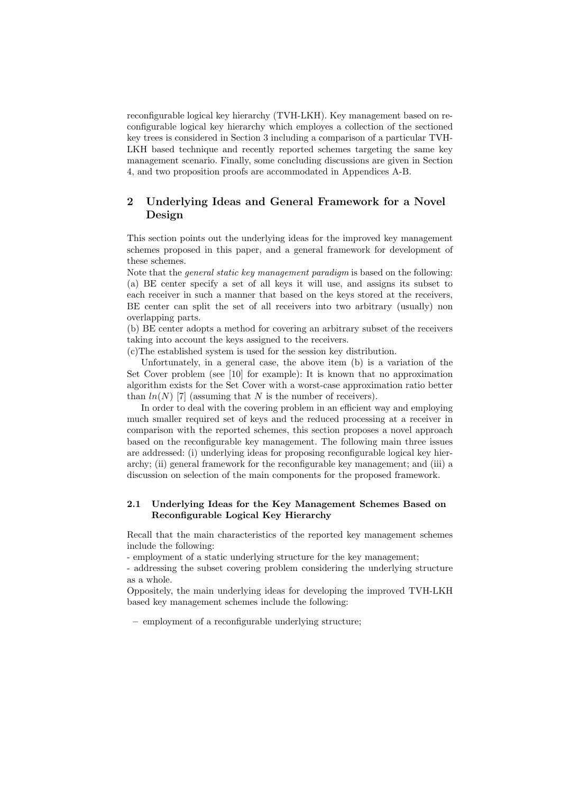reconfigurable logical key hierarchy (TVH-LKH). Key management based on reconfigurable logical key hierarchy which employes a collection of the sectioned key trees is considered in Section 3 including a comparison of a particular TVH-LKH based technique and recently reported schemes targeting the same key management scenario. Finally, some concluding discussions are given in Section 4, and two proposition proofs are accommodated in Appendices A-B.

# 2 Underlying Ideas and General Framework for a Novel Design

This section points out the underlying ideas for the improved key management schemes proposed in this paper, and a general framework for development of these schemes.

Note that the *general static key management paradigm* is based on the following: (a) BE center specify a set of all keys it will use, and assigns its subset to each receiver in such a manner that based on the keys stored at the receivers, BE center can split the set of all receivers into two arbitrary (usually) non overlapping parts.

(b) BE center adopts a method for covering an arbitrary subset of the receivers taking into account the keys assigned to the receivers.

(c)The established system is used for the session key distribution.

Unfortunately, in a general case, the above item (b) is a variation of the Set Cover problem (see [10] for example): It is known that no approximation algorithm exists for the Set Cover with a worst-case approximation ratio better than  $ln(N)$  [7] (assuming that N is the number of receivers).

In order to deal with the covering problem in an efficient way and employing much smaller required set of keys and the reduced processing at a receiver in comparison with the reported schemes, this section proposes a novel approach based on the reconfigurable key management. The following main three issues are addressed: (i) underlying ideas for proposing reconfigurable logical key hierarchy; (ii) general framework for the reconfigurable key management; and (iii) a discussion on selection of the main components for the proposed framework.

### 2.1 Underlying Ideas for the Key Management Schemes Based on Reconfigurable Logical Key Hierarchy

Recall that the main characteristics of the reported key management schemes include the following:

- employment of a static underlying structure for the key management;

- addressing the subset covering problem considering the underlying structure as a whole.

Oppositely, the main underlying ideas for developing the improved TVH-LKH based key management schemes include the following:

– employment of a reconfigurable underlying structure;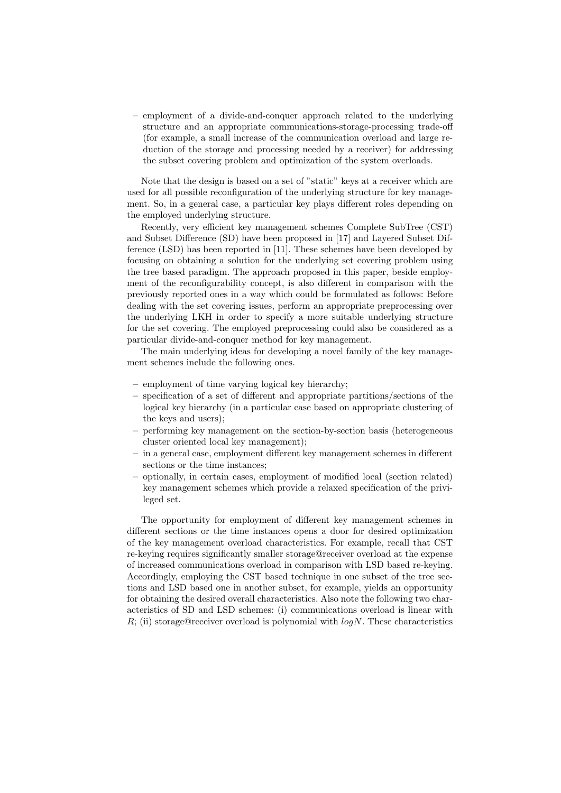– employment of a divide-and-conquer approach related to the underlying structure and an appropriate communications-storage-processing trade-off (for example, a small increase of the communication overload and large reduction of the storage and processing needed by a receiver) for addressing the subset covering problem and optimization of the system overloads.

Note that the design is based on a set of "static" keys at a receiver which are used for all possible reconfiguration of the underlying structure for key management. So, in a general case, a particular key plays different roles depending on the employed underlying structure.

Recently, very efficient key management schemes Complete SubTree (CST) and Subset Difference (SD) have been proposed in [17] and Layered Subset Difference (LSD) has been reported in [11]. These schemes have been developed by focusing on obtaining a solution for the underlying set covering problem using the tree based paradigm. The approach proposed in this paper, beside employment of the reconfigurability concept, is also different in comparison with the previously reported ones in a way which could be formulated as follows: Before dealing with the set covering issues, perform an appropriate preprocessing over the underlying LKH in order to specify a more suitable underlying structure for the set covering. The employed preprocessing could also be considered as a particular divide-and-conquer method for key management.

The main underlying ideas for developing a novel family of the key management schemes include the following ones.

- employment of time varying logical key hierarchy;
- specification of a set of different and appropriate partitions/sections of the logical key hierarchy (in a particular case based on appropriate clustering of the keys and users);
- performing key management on the section-by-section basis (heterogeneous cluster oriented local key management);
- in a general case, employment different key management schemes in different sections or the time instances;
- optionally, in certain cases, employment of modified local (section related) key management schemes which provide a relaxed specification of the privileged set.

The opportunity for employment of different key management schemes in different sections or the time instances opens a door for desired optimization of the key management overload characteristics. For example, recall that CST re-keying requires significantly smaller storage@receiver overload at the expense of increased communications overload in comparison with LSD based re-keying. Accordingly, employing the CST based technique in one subset of the tree sections and LSD based one in another subset, for example, yields an opportunity for obtaining the desired overall characteristics. Also note the following two characteristics of SD and LSD schemes: (i) communications overload is linear with R; (ii) storage@receiver overload is polynomial with  $log N$ . These characteristics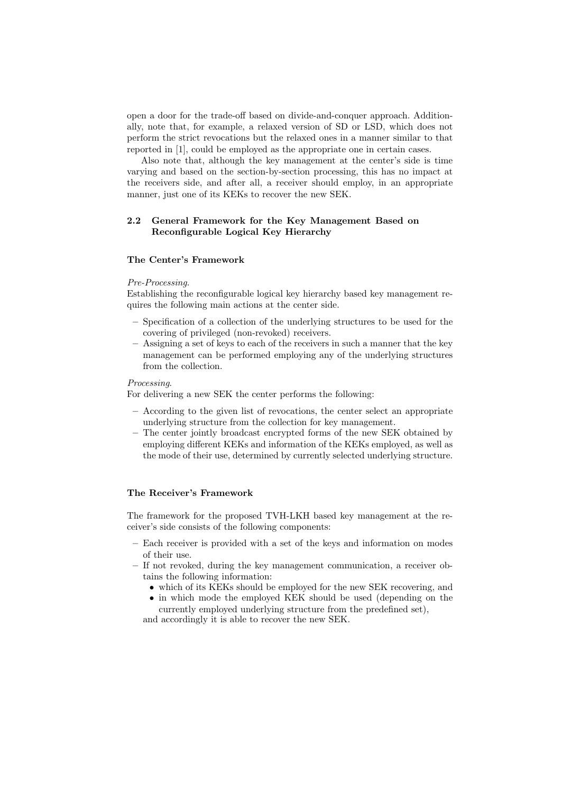open a door for the trade-off based on divide-and-conquer approach. Additionally, note that, for example, a relaxed version of SD or LSD, which does not perform the strict revocations but the relaxed ones in a manner similar to that reported in [1], could be employed as the appropriate one in certain cases.

Also note that, although the key management at the center's side is time varying and based on the section-by-section processing, this has no impact at the receivers side, and after all, a receiver should employ, in an appropriate manner, just one of its KEKs to recover the new SEK.

### 2.2 General Framework for the Key Management Based on Reconfigurable Logical Key Hierarchy

### The Center's Framework

### Pre-Processing.

Establishing the reconfigurable logical key hierarchy based key management requires the following main actions at the center side.

- Specification of a collection of the underlying structures to be used for the covering of privileged (non-revoked) receivers.
- Assigning a set of keys to each of the receivers in such a manner that the key management can be performed employing any of the underlying structures from the collection.

### Processing.

For delivering a new SEK the center performs the following:

- According to the given list of revocations, the center select an appropriate underlying structure from the collection for key management.
- The center jointly broadcast encrypted forms of the new SEK obtained by employing different KEKs and information of the KEKs employed, as well as the mode of their use, determined by currently selected underlying structure.

### The Receiver's Framework

The framework for the proposed TVH-LKH based key management at the receiver's side consists of the following components:

- Each receiver is provided with a set of the keys and information on modes of their use.
- If not revoked, during the key management communication, a receiver obtains the following information:
	- which of its KEKs should be employed for the new SEK recovering, and
	- in which mode the employed KEK should be used (depending on the currently employed underlying structure from the predefined set),

and accordingly it is able to recover the new SEK.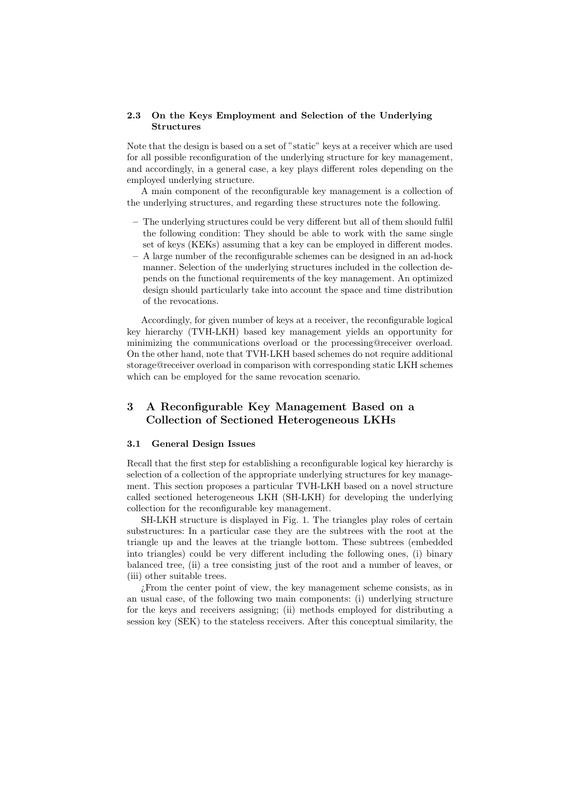### 2.3 On the Keys Employment and Selection of the Underlying Structures

Note that the design is based on a set of "static" keys at a receiver which are used for all possible reconfiguration of the underlying structure for key management, and accordingly, in a general case, a key plays different roles depending on the employed underlying structure.

A main component of the reconfigurable key management is a collection of the underlying structures, and regarding these structures note the following.

- The underlying structures could be very different but all of them should fulfil the following condition: They should be able to work with the same single set of keys (KEKs) assuming that a key can be employed in different modes.
- A large number of the reconfigurable schemes can be designed in an ad-hock manner. Selection of the underlying structures included in the collection depends on the functional requirements of the key management. An optimized design should particularly take into account the space and time distribution of the revocations.

Accordingly, for given number of keys at a receiver, the reconfigurable logical key hierarchy (TVH-LKH) based key management yields an opportunity for minimizing the communications overload or the processing@receiver overload. On the other hand, note that TVH-LKH based schemes do not require additional storage@receiver overload in comparison with corresponding static LKH schemes which can be employed for the same revocation scenario.

# 3 A Reconfigurable Key Management Based on a Collection of Sectioned Heterogeneous LKHs

### 3.1 General Design Issues

Recall that the first step for establishing a reconfigurable logical key hierarchy is selection of a collection of the appropriate underlying structures for key management. This section proposes a particular TVH-LKH based on a novel structure called sectioned heterogeneous LKH (SH-LKH) for developing the underlying collection for the reconfigurable key management.

SH-LKH structure is displayed in Fig. 1. The triangles play roles of certain substructures: In a particular case they are the subtrees with the root at the triangle up and the leaves at the triangle bottom. These subtrees (embedded into triangles) could be very different including the following ones, (i) binary balanced tree, (ii) a tree consisting just of the root and a number of leaves, or (iii) other suitable trees.

¿From the center point of view, the key management scheme consists, as in an usual case, of the following two main components: (i) underlying structure for the keys and receivers assigning; (ii) methods employed for distributing a session key (SEK) to the stateless receivers. After this conceptual similarity, the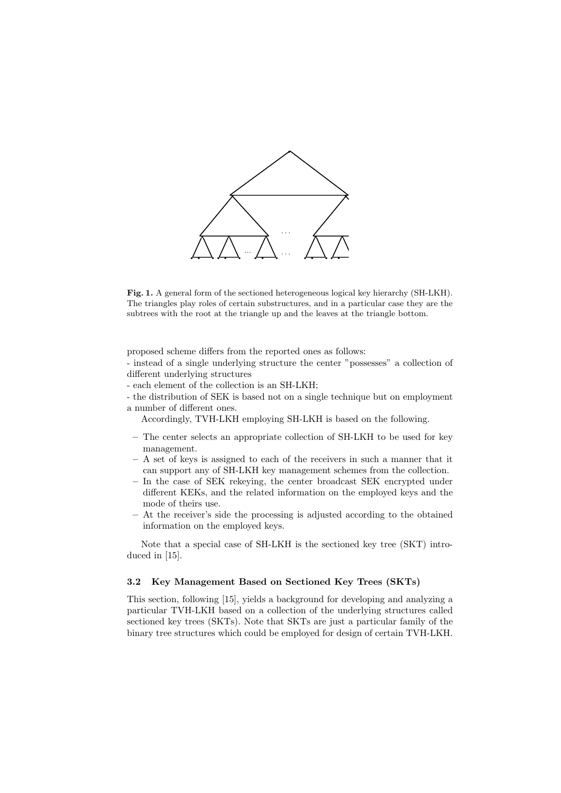

Fig. 1. A general form of the sectioned heterogeneous logical key hierarchy (SH-LKH). The triangles play roles of certain substructures, and in a particular case they are the subtrees with the root at the triangle up and the leaves at the triangle bottom.

proposed scheme differs from the reported ones as follows:

- instead of a single underlying structure the center "possesses" a collection of different underlying structures

- each element of the collection is an SH-LKH;

- the distribution of SEK is based not on a single technique but on employment a number of different ones.

Accordingly, TVH-LKH employing SH-LKH is based on the following.

- The center selects an appropriate collection of SH-LKH to be used for key management.
- A set of keys is assigned to each of the receivers in such a manner that it can support any of SH-LKH key management schemes from the collection.
- In the case of SEK rekeying, the center broadcast SEK encrypted under different KEKs, and the related information on the employed keys and the mode of theirs use.
- At the receiver's side the processing is adjusted according to the obtained information on the employed keys.

Note that a special case of SH-LKH is the sectioned key tree (SKT) introduced in [15].

### 3.2 Key Management Based on Sectioned Key Trees (SKTs)

This section, following [15], yields a background for developing and analyzing a particular TVH-LKH based on a collection of the underlying structures called sectioned key trees (SKTs). Note that SKTs are just a particular family of the binary tree structures which could be employed for design of certain TVH-LKH.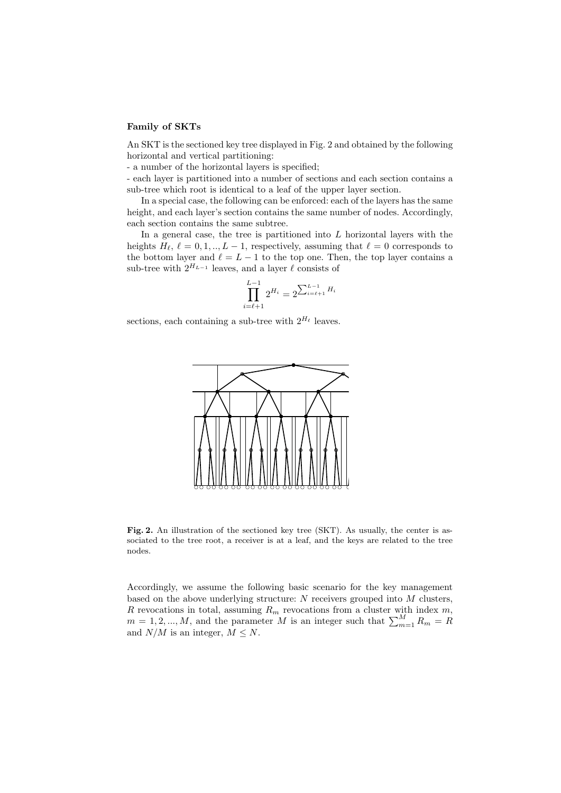### Family of SKTs

An SKT is the sectioned key tree displayed in Fig. 2 and obtained by the following horizontal and vertical partitioning:

- a number of the horizontal layers is specified;

- each layer is partitioned into a number of sections and each section contains a sub-tree which root is identical to a leaf of the upper layer section.

In a special case, the following can be enforced: each of the layers has the same height, and each layer's section contains the same number of nodes. Accordingly, each section contains the same subtree.

In a general case, the tree is partitioned into  $L$  horizontal layers with the heights  $H_{\ell}, \ell = 0, 1, ..., L - 1$ , respectively, assuming that  $\ell = 0$  corresponds to the bottom layer and  $\ell = L - 1$  to the top one. Then, the top layer contains a sub-tree with  $2^{H_{L-1}}$  leaves, and a layer  $\ell$  consists of

$$
\prod_{i=\ell+1}^{L-1} 2^{H_i} = 2^{\sum_{i=\ell+1}^{L-1} H_i}
$$

sections, each containing a sub-tree with  $2^{H_{\ell}}$  leaves.



Fig. 2. An illustration of the sectioned key tree (SKT). As usually, the center is associated to the tree root, a receiver is at a leaf, and the keys are related to the tree nodes.

Accordingly, we assume the following basic scenario for the key management based on the above underlying structure:  $N$  receivers grouped into  $M$  clusters, R revocations in total, assuming  $R_m$  revocations from a cluster with index  $m$ ,  $m = 1, 2, ..., M$ , and the parameter M is an integer such that  $\sum_{m=1}^{M} R_m = R$ and  $N/M$  is an integer,  $M \leq N$ .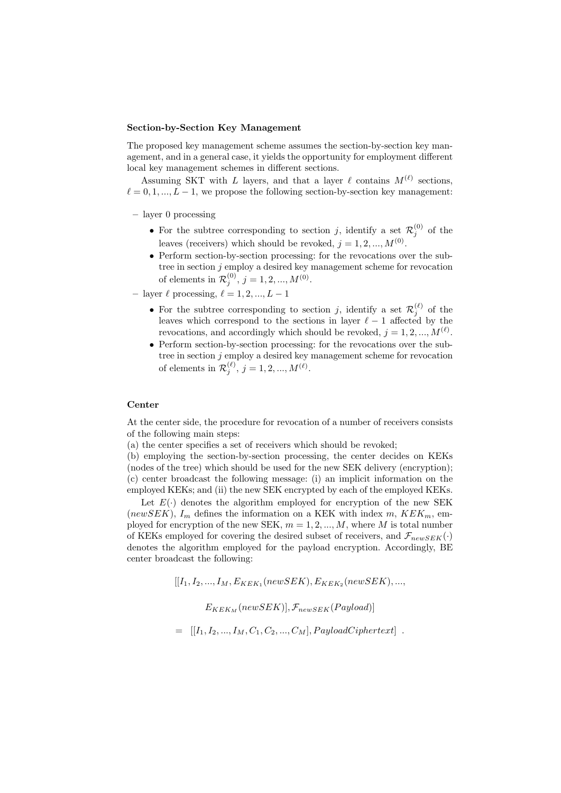#### Section-by-Section Key Management

The proposed key management scheme assumes the section-by-section key management, and in a general case, it yields the opportunity for employment different local key management schemes in different sections.

Assuming SKT with L layers, and that a layer  $\ell$  contains  $M^{(\ell)}$  sections,  $\ell = 0, 1, ..., L - 1$ , we propose the following section-by-section key management:

- layer 0 processing
	- For the subtree corresponding to section j, identify a set  $\mathcal{R}_j^{(0)}$  of the leaves (receivers) which should be revoked,  $j = 1, 2, ..., M^{(0)}$ .
	- Perform section-by-section processing: for the revocations over the subtree in section  $j$  employ a desired key management scheme for revocation of elements in  $\mathcal{R}_j^{(0)}$ ,  $j = 1, 2, ..., M^{(0)}$ .
- layer  $\ell$  processing,  $\ell = 1, 2, ..., L 1$ 
	- For the subtree corresponding to section j, identify a set  $\mathcal{R}_j^{(\ell)}$  of the leaves which correspond to the sections in layer  $\ell - 1$  affected by the revocations, and accordingly which should be revoked,  $j = 1, 2, ..., M^{(\ell)}$ .
	- Perform section-by-section processing: for the revocations over the subtree in section  $j$  employ a desired key management scheme for revocation of elements in  $\mathcal{R}_j^{(\ell)}$ ,  $j = 1, 2, ..., M^{(\ell)}$ .

#### **Center**

At the center side, the procedure for revocation of a number of receivers consists of the following main steps:

(a) the center specifies a set of receivers which should be revoked;

(b) employing the section-by-section processing, the center decides on KEKs (nodes of the tree) which should be used for the new SEK delivery (encryption); (c) center broadcast the following message: (i) an implicit information on the employed KEKs; and (ii) the new SEK encrypted by each of the employed KEKs.

Let  $E(\cdot)$  denotes the algorithm employed for encryption of the new SEK (newSEK),  $I_m$  defines the information on a KEK with index m,  $KEK_m$ , employed for encryption of the new SEK,  $m = 1, 2, ..., M$ , where M is total number of KEKs employed for covering the desired subset of receivers, and  $\mathcal{F}_{newSEK}(\cdot)$ denotes the algorithm employed for the payload encryption. Accordingly, BE center broadcast the following:

 $[[I_1, I_2, ..., I_M, E_{KEK_1}(newSEK), E_{KEK_2}(newSEK), ...,]$ 

 $E_{KEK_M}(newSEK), \mathcal{F}_{newSEK}(Payload)$ ]

 $= [[I_1, I_2, ..., I_M, C_1, C_2, ..., C_M], PayloadCiphertext]$ .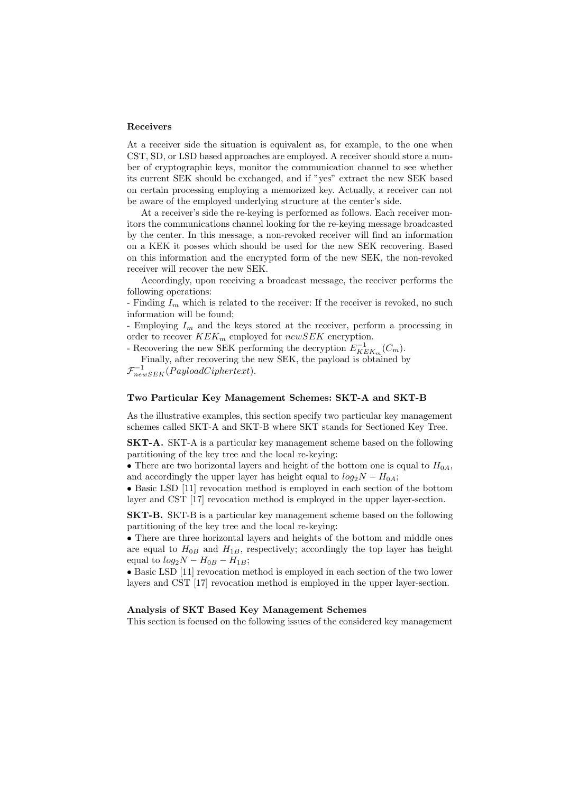#### Receivers

At a receiver side the situation is equivalent as, for example, to the one when CST, SD, or LSD based approaches are employed. A receiver should store a number of cryptographic keys, monitor the communication channel to see whether its current SEK should be exchanged, and if "yes" extract the new SEK based on certain processing employing a memorized key. Actually, a receiver can not be aware of the employed underlying structure at the center's side.

At a receiver's side the re-keying is performed as follows. Each receiver monitors the communications channel looking for the re-keying message broadcasted by the center. In this message, a non-revoked receiver will find an information on a KEK it posses which should be used for the new SEK recovering. Based on this information and the encrypted form of the new SEK, the non-revoked receiver will recover the new SEK.

Accordingly, upon receiving a broadcast message, the receiver performs the following operations:

- Finding  $I_m$  which is related to the receiver: If the receiver is revoked, no such information will be found;

- Employing  $I_m$  and the keys stored at the receiver, perform a processing in order to recover  $KEK_m$  employed for  $newSEK$  encryption.

- Recovering the new SEK performing the decryption  $E^{-1}_{KEK_m}(C_m)$ . Finally, after recovering the new SEK, the payload is obtained by

 $\mathcal{F}_{newSEK}^{-1}(PayloadCiphertext).$ 

#### Two Particular Key Management Schemes: SKT-A and SKT-B

As the illustrative examples, this section specify two particular key management schemes called SKT-A and SKT-B where SKT stands for Sectioned Key Tree.

SKT-A. SKT-A is a particular key management scheme based on the following partitioning of the key tree and the local re-keying:

• There are two horizontal layers and height of the bottom one is equal to  $H_{0A}$ , and accordingly the upper layer has height equal to  $log_2N - H_{0A}$ ;

• Basic LSD [11] revocation method is employed in each section of the bottom layer and CST [17] revocation method is employed in the upper layer-section.

SKT-B. SKT-B is a particular key management scheme based on the following partitioning of the key tree and the local re-keying:

• There are three horizontal layers and heights of the bottom and middle ones are equal to  $H_{0B}$  and  $H_{1B}$ , respectively; accordingly the top layer has height equal to  $log_2N - H_{0B} - H_{1B}$ ;

• Basic LSD [11] revocation method is employed in each section of the two lower layers and CST [17] revocation method is employed in the upper layer-section.

#### Analysis of SKT Based Key Management Schemes

This section is focused on the following issues of the considered key management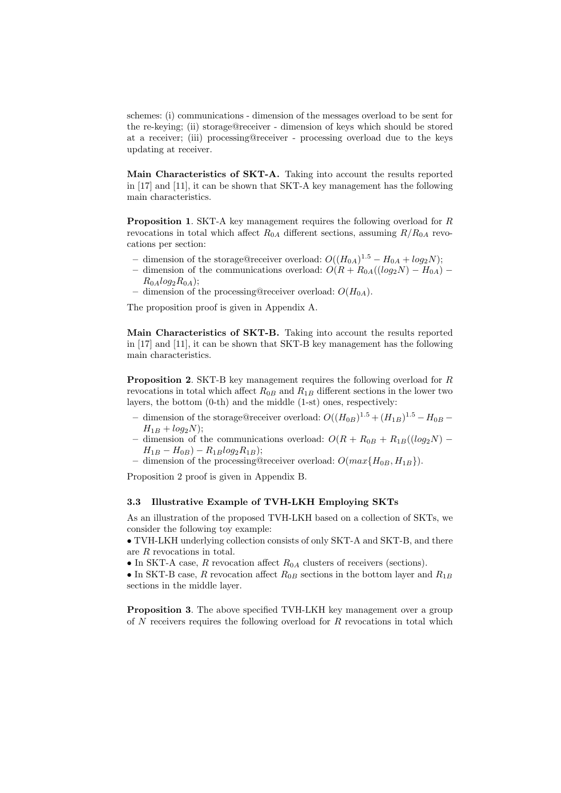schemes: (i) communications - dimension of the messages overload to be sent for the re-keying; (ii) storage@receiver - dimension of keys which should be stored at a receiver; (iii) processing@receiver - processing overload due to the keys updating at receiver.

Main Characteristics of SKT-A. Taking into account the results reported in [17] and [11], it can be shown that SKT-A key management has the following main characteristics.

Proposition 1. SKT-A key management requires the following overload for R revocations in total which affect  $R_{0A}$  different sections, assuming  $R/R_{0A}$  revocations per section:

- dimension of the storage@receiver overload:  $O((H_{0A})^{1.5} H_{0A} + log_2 N)$ ;
- dimension of the communications overload:  $O(R + R_{0A}((log_2 N) H_{0A})$   $R_{0A}log_2R_{0A});$
- dimension of the processing@receiver overload:  $O(H_{0A})$ .

The proposition proof is given in Appendix A.

Main Characteristics of SKT-B. Taking into account the results reported in [17] and [11], it can be shown that SKT-B key management has the following main characteristics.

Proposition 2. SKT-B key management requires the following overload for R revocations in total which affect  $R_{0B}$  and  $R_{1B}$  different sections in the lower two layers, the bottom (0-th) and the middle (1-st) ones, respectively:

- − dimension of the storage@receiver overload:  $O((H_{0B})^{1.5} + (H_{1B})^{1.5} H_{0B}$  −  $H_{1B} + log_2 N$ ;
- dimension of the communications overload:  $O(R + R_{0B} + R_{1B}((log_2 N) H_{1B} - H_{0B}$ ) –  $R_{1B}log_2 R_{1B}$ );
- dimension of the processing@receiver overload:  $O(max{H_{0B}, H_{1B}})$ .

Proposition 2 proof is given in Appendix B.

### 3.3 Illustrative Example of TVH-LKH Employing SKTs

As an illustration of the proposed TVH-LKH based on a collection of SKTs, we consider the following toy example:

• TVH-LKH underlying collection consists of only SKT-A and SKT-B, and there are R revocations in total.

• In SKT-A case, R revocation affect  $R_{0A}$  clusters of receivers (sections).

• In SKT-B case, R revocation affect  $R_{0B}$  sections in the bottom layer and  $R_{1B}$ sections in the middle layer.

**Proposition 3.** The above specified TVH-LKH key management over a group of N receivers requires the following overload for R revocations in total which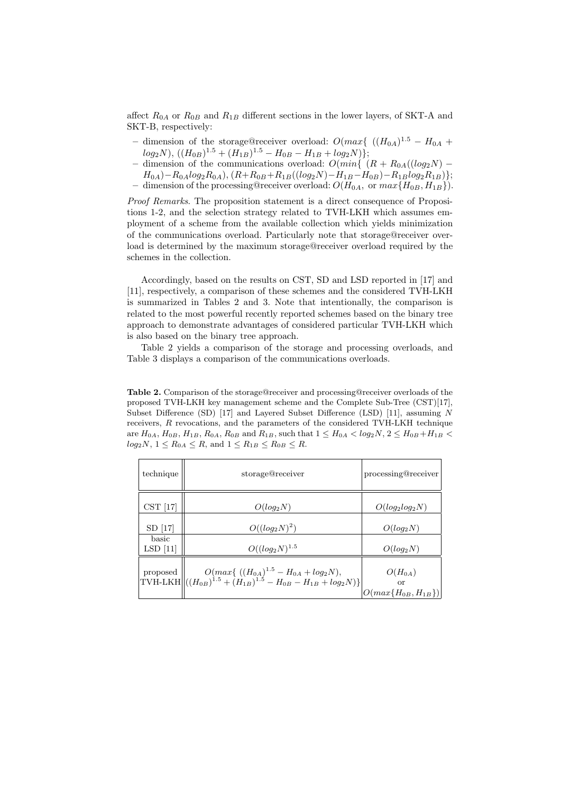affect  $R_{0A}$  or  $R_{0B}$  and  $R_{1B}$  different sections in the lower layers, of SKT-A and SKT-B, respectively:

- dimension of the storage@receiver overload:  $O(max \{ (H_{0A})^{1.5} H_{0A} +$  $log_2N$ ),  $((H_{0B})^{1.5} + (H_{1B})^{1.5} - H_{0B} - H_{1B} + log_2N)$ };
- dimension of the communications overload:  $O(min\{ (R + R_{0A}((log_2 N) H_{0A}$ )− $R_{0A}log_2R_{0A}$ ),  $(R+R_{0B}+R_{1B}((log_2N)-H_{1B}-H_{0B})-R_{1B}log_2R_{1B})$ };
- dimension of the processing@receiver overload:  $O(H_{0A}$ , or  $max\{H_{0B}, H_{1B}\})$ .

Proof Remarks. The proposition statement is a direct consequence of Propositions 1-2, and the selection strategy related to TVH-LKH which assumes employment of a scheme from the available collection which yields minimization of the communications overload. Particularly note that storage@receiver overload is determined by the maximum storage@receiver overload required by the schemes in the collection.

Accordingly, based on the results on CST, SD and LSD reported in [17] and [11], respectively, a comparison of these schemes and the considered TVH-LKH is summarized in Tables 2 and 3. Note that intentionally, the comparison is related to the most powerful recently reported schemes based on the binary tree approach to demonstrate advantages of considered particular TVH-LKH which is also based on the binary tree approach.

Table 2 yields a comparison of the storage and processing overloads, and Table 3 displays a comparison of the communications overloads.

Table 2. Comparison of the storage@receiver and processing@receiver overloads of the proposed TVH-LKH key management scheme and the Complete Sub-Tree (CST)[17], Subset Difference (SD) [17] and Layered Subset Difference (LSD) [11], assuming  $N$ receivers, R revocations, and the parameters of the considered TVH-LKH technique are  $H_{0A}$ ,  $H_{0B}$ ,  $H_{1B}$ ,  $R_{0A}$ ,  $R_{0B}$  and  $R_{1B}$ , such that  $1 \leq H_{0A} < log_2 N$ ,  $2 \leq H_{0B} + H_{1B} <$  $log_2N$ ,  $1 \leq R_{0A} \leq R$ , and  $1 \leq R_{1B} \leq R_{0B} \leq R$ .

| technique           | storage@receiver                                                                                                                                                                     | processing@receiver                             |
|---------------------|--------------------------------------------------------------------------------------------------------------------------------------------------------------------------------------|-------------------------------------------------|
| $\text{CST}$ [17]   | $O(log_2N)$                                                                                                                                                                          | $O(log_2 log_2 N)$                              |
| $SD$ [17]           | $O((log_2 N)^2)$                                                                                                                                                                     | $O(log_2N)$                                     |
| basic<br>$LSD$ [11] | $O((log_2 N)^{1.5})$                                                                                                                                                                 | $O(log_2N)$                                     |
|                     | proposed $\left\  \begin{array}{c} O(max\{((H_{0A})^{1.5} - H_{0A} + log_2 N), \text{TVH-LKH} \end{array} \right\  ((H_{0B})^{1.5} + (H_{1B})^{1.5} - H_{0B} - H_{1B} + log_2 N) \}$ | $O(H_{0A})$<br>or<br>$ O(max{H_{0B}, H_{1B}}) $ |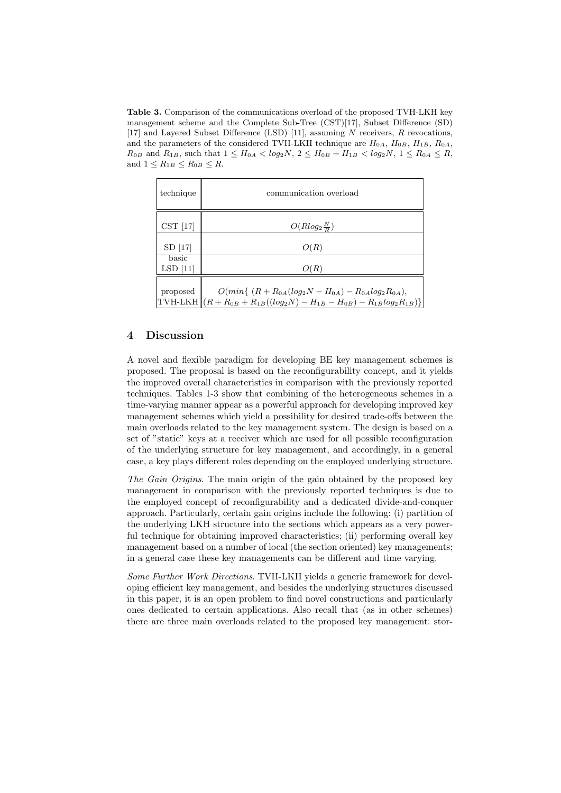Table 3. Comparison of the communications overload of the proposed TVH-LKH key management scheme and the Complete Sub-Tree (CST)[17], Subset Difference (SD) [17] and Layered Subset Difference (LSD) [11], assuming N receivers, R revocations, and the parameters of the considered TVH-LKH technique are  $H_{0A}$ ,  $H_{0B}$ ,  $H_{1B}$ ,  $R_{0A}$ ,  $R_{0B}$  and  $R_{1B}$ , such that  $1 \leq H_{0A} < log_2 N$ ,  $2 \leq H_{0B} + H_{1B} < log_2 N$ ,  $1 \leq R_{0A} \leq R$ , and  $1 \leq R_{1B} \leq R_{0B} \leq R$ .

| technique           | communication overload                                                                                                                                    |
|---------------------|-----------------------------------------------------------------------------------------------------------------------------------------------------------|
| $\text{CST}$ [17]   | $O(Rlog_2\frac{N}{R})$                                                                                                                                    |
| $SD$ [17]           | O(R)                                                                                                                                                      |
| basic<br>$LSD$ [11] | O(R)                                                                                                                                                      |
| proposed            | $O(min\{ (R + R_{0A}(log_2N - H_{0A}) - R_{0A}log_2R_{0A}),$<br>$\text{TVH-LKH}[(R + R_{0B} + R_{1B}((log_2 N) - H_{1B} - H_{0B}) - R_{1B}log_2 R_{1B})]$ |

## 4 Discussion

A novel and flexible paradigm for developing BE key management schemes is proposed. The proposal is based on the reconfigurability concept, and it yields the improved overall characteristics in comparison with the previously reported techniques. Tables 1-3 show that combining of the heterogeneous schemes in a time-varying manner appear as a powerful approach for developing improved key management schemes which yield a possibility for desired trade-offs between the main overloads related to the key management system. The design is based on a set of "static" keys at a receiver which are used for all possible reconfiguration of the underlying structure for key management, and accordingly, in a general case, a key plays different roles depending on the employed underlying structure.

The Gain Origins. The main origin of the gain obtained by the proposed key management in comparison with the previously reported techniques is due to the employed concept of reconfigurability and a dedicated divide-and-conquer approach. Particularly, certain gain origins include the following: (i) partition of the underlying LKH structure into the sections which appears as a very powerful technique for obtaining improved characteristics; (ii) performing overall key management based on a number of local (the section oriented) key managements; in a general case these key managements can be different and time varying.

Some Further Work Directions. TVH-LKH yields a generic framework for developing efficient key management, and besides the underlying structures discussed in this paper, it is an open problem to find novel constructions and particularly ones dedicated to certain applications. Also recall that (as in other schemes) there are three main overloads related to the proposed key management: stor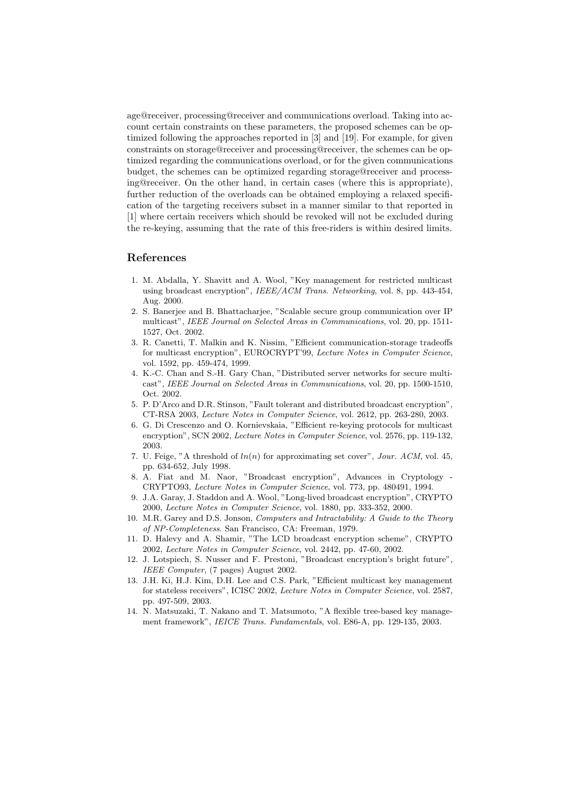age@receiver, processing@receiver and communications overload. Taking into account certain constraints on these parameters, the proposed schemes can be optimized following the approaches reported in [3] and [19]. For example, for given constraints on storage@receiver and processing@receiver, the schemes can be optimized regarding the communications overload, or for the given communications budget, the schemes can be optimized regarding storage@receiver and processing@receiver. On the other hand, in certain cases (where this is appropriate), further reduction of the overloads can be obtained employing a relaxed specification of the targeting receivers subset in a manner similar to that reported in [1] where certain receivers which should be revoked will not be excluded during the re-keying, assuming that the rate of this free-riders is within desired limits.

### References

- 1. M. Abdalla, Y. Shavitt and A. Wool, "Key management for restricted multicast using broadcast encryption", IEEE/ACM Trans. Networking, vol. 8, pp. 443-454, Aug. 2000.
- 2. S. Banerjee and B. Bhattacharjee, "Scalable secure group communication over IP multicast", IEEE Journal on Selected Areas in Communications, vol. 20, pp. 1511-1527, Oct. 2002.
- 3. R. Canetti, T. Malkin and K. Nissim, "Efficient communication-storage tradeoffs for multicast encryption", EUROCRYPT'99, Lecture Notes in Computer Science, vol. 1592, pp. 459-474, 1999.
- 4. K.-C. Chan and S.-H. Gary Chan, "Distributed server networks for secure multicast", IEEE Journal on Selected Areas in Communications, vol. 20, pp. 1500-1510, Oct. 2002.
- 5. P. D'Arco and D.R. Stinson, "Fault tolerant and distributed broadcast encryption", CT-RSA 2003, Lecture Notes in Computer Science, vol. 2612, pp. 263-280, 2003.
- 6. G. Di Crescenzo and O. Kornievskaia, "Efficient re-keying protocols for multicast encryption", SCN 2002, Lecture Notes in Computer Science, vol. 2576, pp. 119-132, 2003.
- 7. U. Feige, "A threshold of  $ln(n)$  for approximating set cover", Jour. ACM, vol. 45, pp. 634-652, July 1998.
- 8. A. Fiat and M. Naor, "Broadcast encryption", Advances in Cryptology CRYPTO93, Lecture Notes in Computer Science, vol. 773, pp. 480491, 1994.
- 9. J.A. Garay, J. Staddon and A. Wool, "Long-lived broadcast encryption", CRYPTO 2000, Lecture Notes in Computer Science, vol. 1880, pp. 333-352, 2000.
- 10. M.R. Garey and D.S. Jonson, Computers and Intractability: A Guide to the Theory of NP-Completeness. San Francisco, CA: Freeman, 1979.
- 11. D. Halevy and A. Shamir, "The LCD broadcast encryption scheme", CRYPTO 2002, Lecture Notes in Computer Science, vol. 2442, pp. 47-60, 2002.
- 12. J. Lotspiech, S. Nusser and F. Prestoni, "Broadcast encryption's bright future", IEEE Computer, (7 pages) August 2002.
- 13. J.H. Ki, H.J. Kim, D.H. Lee and C.S. Park, "Efficient multicast key management for stateless receivers", ICISC 2002, Lecture Notes in Computer Science, vol. 2587, pp. 497-509, 2003.
- 14. N. Matsuzaki, T. Nakano and T. Matsumoto, "A flexible tree-based key management framework", IEICE Trans. Fundamentals, vol. E86-A, pp. 129-135, 2003.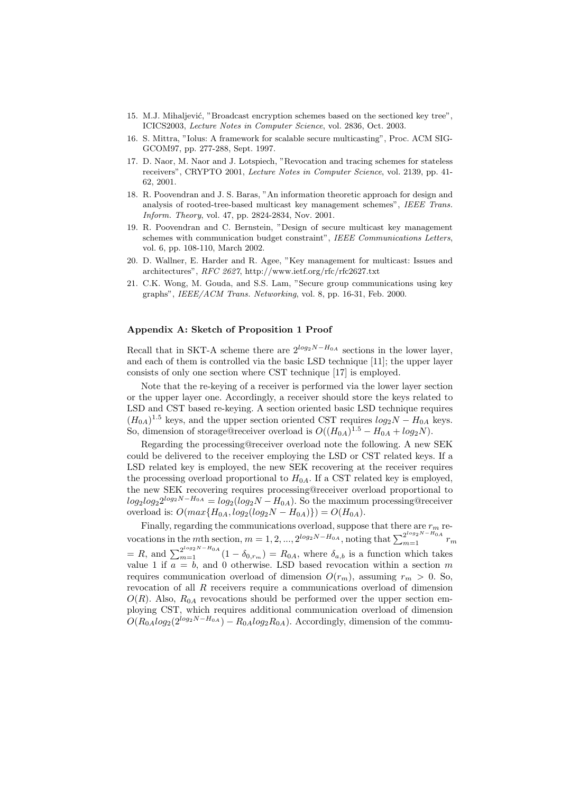- 15. M.J. Mihaljević, "Broadcast encryption schemes based on the sectioned key tree", ICICS2003, Lecture Notes in Computer Science, vol. 2836, Oct. 2003.
- 16. S. Mittra, "Iolus: A framework for scalable secure multicasting", Proc. ACM SIG-GCOM97, pp. 277-288, Sept. 1997.
- 17. D. Naor, M. Naor and J. Lotspiech, "Revocation and tracing schemes for stateless receivers", CRYPTO 2001, Lecture Notes in Computer Science, vol. 2139, pp. 41- 62, 2001.
- 18. R. Poovendran and J. S. Baras, "An information theoretic approach for design and analysis of rooted-tree-based multicast key management schemes", IEEE Trans. Inform. Theory, vol. 47, pp. 2824-2834, Nov. 2001.
- 19. R. Poovendran and C. Bernstein, "Design of secure multicast key management schemes with communication budget constraint", IEEE Communications Letters, vol. 6, pp. 108-110, March 2002.
- 20. D. Wallner, E. Harder and R. Agee, "Key management for multicast: Issues and architectures", RFC 2627, http://www.ietf.org/rfc/rfc2627.txt
- 21. C.K. Wong, M. Gouda, and S.S. Lam, "Secure group communications using key graphs", IEEE/ACM Trans. Networking, vol. 8, pp. 16-31, Feb. 2000.

### Appendix A: Sketch of Proposition 1 Proof

Recall that in SKT-A scheme there are  $2^{\log_2 N - H_{0A}}$  sections in the lower layer, and each of them is controlled via the basic LSD technique [11]; the upper layer consists of only one section where CST technique [17] is employed.

Note that the re-keying of a receiver is performed via the lower layer section or the upper layer one. Accordingly, a receiver should store the keys related to LSD and CST based re-keying. A section oriented basic LSD technique requires  $(H_{0A})^{1.5}$  keys, and the upper section oriented CST requires  $log_2N - H_{0A}$  keys. So, dimension of storage@receiver overload is  $O((H_{0A})^{1.5} - H_{0A} + log_2 N)$ .

Regarding the processing@receiver overload note the following. A new SEK could be delivered to the receiver employing the LSD or CST related keys. If a LSD related key is employed, the new SEK recovering at the receiver requires the processing overload proportional to  $H_{0A}$ . If a CST related key is employed, the new SEK recovering requires processing@receiver overload proportional to  $log_2 log_2 2^{log_2 N-H_{0A}} = log_2 (log_2 N-H_{0A})$ . So the maximum processing@receiver overload is:  $O(max{H_{0A}, log_2(log_2N - H_{0A})}) = O(H_{0A}).$ 

Finally, regarding the communications overload, suppose that there are  $r_m$  revocations in the mth section,  $m = 1, 2, ..., 2^{\log_2 N - H_{0A}}$ , noting that  $\sum_{m=1}^{2^{\log_2 N - H_{0A}}} r_m$ <br>= R, and  $\sum_{m=1}^{2^{\log_2 N - H_{0A}}} (1 - \delta_{0, r_m}) = R_{0A}$ , where  $\delta_{a,b}$  is a function which takes value 1 if  $a = b$ , and 0 otherwise. LSD based revocation within a section m requires communication overload of dimension  $O(r_m)$ , assuming  $r_m > 0$ . So, revocation of all R receivers require a communications overload of dimension  $O(R)$ . Also,  $R_{0A}$  revocations should be performed over the upper section employing CST, which requires additional communication overload of dimension  $O(R_{0A}log_2(2^{log_2N-H_{0A}})-R_{0A}log_2R_{0A})$ . Accordingly, dimension of the commu